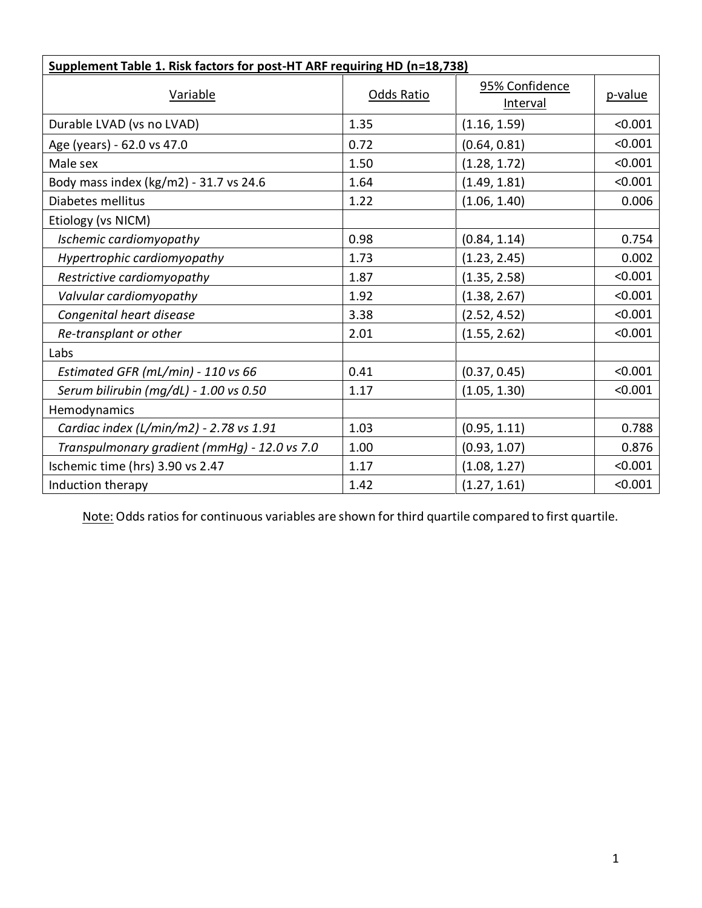| Supplement Table 1. Risk factors for post-HT ARF requiring HD (n=18,738) |            |                            |         |  |  |
|--------------------------------------------------------------------------|------------|----------------------------|---------|--|--|
| Variable                                                                 | Odds Ratio | 95% Confidence<br>Interval | p-value |  |  |
| Durable LVAD (vs no LVAD)                                                | 1.35       | (1.16, 1.59)               | < 0.001 |  |  |
| Age (years) - 62.0 vs 47.0                                               | 0.72       | (0.64, 0.81)               | < 0.001 |  |  |
| Male sex                                                                 | 1.50       | (1.28, 1.72)               | < 0.001 |  |  |
| Body mass index (kg/m2) - 31.7 vs 24.6                                   | 1.64       | (1.49, 1.81)               | < 0.001 |  |  |
| Diabetes mellitus                                                        | 1.22       | (1.06, 1.40)               | 0.006   |  |  |
| Etiology (vs NICM)                                                       |            |                            |         |  |  |
| Ischemic cardiomyopathy                                                  | 0.98       | (0.84, 1.14)               | 0.754   |  |  |
| Hypertrophic cardiomyopathy                                              | 1.73       | (1.23, 2.45)               | 0.002   |  |  |
| Restrictive cardiomyopathy                                               | 1.87       | (1.35, 2.58)               | < 0.001 |  |  |
| Valvular cardiomyopathy                                                  | 1.92       | (1.38, 2.67)               | < 0.001 |  |  |
| Congenital heart disease                                                 | 3.38       | (2.52, 4.52)               | < 0.001 |  |  |
| Re-transplant or other                                                   | 2.01       | (1.55, 2.62)               | < 0.001 |  |  |
| Labs                                                                     |            |                            |         |  |  |
| Estimated GFR (mL/min) - 110 vs 66                                       | 0.41       | (0.37, 0.45)               | < 0.001 |  |  |
| Serum bilirubin (mg/dL) - 1.00 vs 0.50                                   | 1.17       | (1.05, 1.30)               | < 0.001 |  |  |
| Hemodynamics                                                             |            |                            |         |  |  |
| Cardiac index (L/min/m2) - 2.78 vs 1.91                                  | 1.03       | (0.95, 1.11)               | 0.788   |  |  |
| Transpulmonary gradient (mmHg) - 12.0 vs 7.0                             | 1.00       | (0.93, 1.07)               | 0.876   |  |  |
| Ischemic time (hrs) 3.90 vs 2.47                                         | 1.17       | (1.08, 1.27)               | < 0.001 |  |  |
| Induction therapy                                                        | 1.42       | (1.27, 1.61)               | < 0.001 |  |  |

Note: Odds ratios for continuous variables are shown for third quartile compared to first quartile.